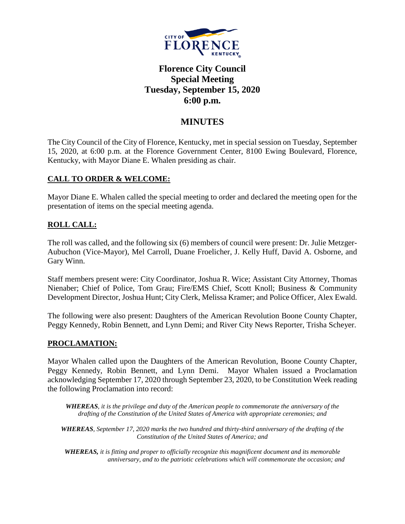

# **Florence City Council Special Meeting Tuesday, September 15, 2020 6:00 p.m.**

## **MINUTES**

The City Council of the City of Florence, Kentucky, met in special session on Tuesday, September 15, 2020, at 6:00 p.m. at the Florence Government Center, 8100 Ewing Boulevard, Florence, Kentucky, with Mayor Diane E. Whalen presiding as chair.

## **CALL TO ORDER & WELCOME:**

Mayor Diane E. Whalen called the special meeting to order and declared the meeting open for the presentation of items on the special meeting agenda.

## **ROLL CALL:**

The roll was called, and the following six (6) members of council were present: Dr. Julie Metzger-Aubuchon (Vice-Mayor), Mel Carroll, Duane Froelicher, J. Kelly Huff, David A. Osborne, and Gary Winn.

Staff members present were: City Coordinator, Joshua R. Wice; Assistant City Attorney, Thomas Nienaber; Chief of Police, Tom Grau; Fire/EMS Chief, Scott Knoll; Business & Community Development Director, Joshua Hunt; City Clerk, Melissa Kramer; and Police Officer, Alex Ewald.

The following were also present: Daughters of the American Revolution Boone County Chapter, Peggy Kennedy, Robin Bennett, and Lynn Demi; and River City News Reporter, Trisha Scheyer.

## **PROCLAMATION:**

Mayor Whalen called upon the Daughters of the American Revolution, Boone County Chapter, Peggy Kennedy, Robin Bennett, and Lynn Demi. Mayor Whalen issued a Proclamation acknowledging September 17, 2020 through September 23, 2020, to be Constitution Week reading the following Proclamation into record:

*WHEREAS, it is the privilege and duty of the American people to commemorate the anniversary of the drafting of the Constitution of the United States of America with appropriate ceremonies; and*

*WHEREAS, September 17, 2020 marks the two hundred and thirty-third anniversary of the drafting of the Constitution of the United States of America; and*

*WHEREAS, it is fitting and proper to officially recognize this magnificent document and its memorable anniversary, and to the patriotic celebrations which will commemorate the occasion; and*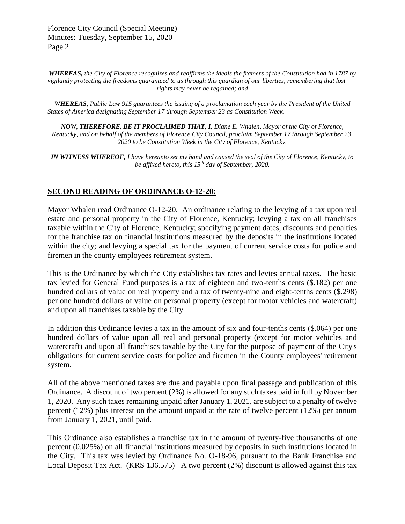Florence City Council (Special Meeting) Minutes: Tuesday, September 15, 2020 Page 2

*WHEREAS, the City of Florence recognizes and reaffirms the ideals the framers of the Constitution had in 1787 by vigilantly protecting the freedoms guaranteed to us through this guardian of our liberties, remembering that lost rights may never be regained; and*

*WHEREAS, Public Law 915 guarantees the issuing of a proclamation each year by the President of the United States of America designating September 17 through September 23 as Constitution Week.*

*NOW, THEREFORE, BE IT PROCLAIMED THAT, I, Diane E. Whalen, Mayor of the City of Florence, Kentucky, and on behalf of the members of Florence City Council, proclaim September 17 through September 23, 2020 to be Constitution Week in the City of Florence, Kentucky.*

*IN WITNESS WHEREOF, I have hereunto set my hand and caused the seal of the City of Florence, Kentucky, to be affixed hereto, this 15th day of September, 2020.*

### **SECOND READING OF ORDINANCE O-12-20:**

Mayor Whalen read Ordinance O-12-20. An ordinance relating to the levying of a tax upon real estate and personal property in the City of Florence, Kentucky; levying a tax on all franchises taxable within the City of Florence, Kentucky; specifying payment dates, discounts and penalties for the franchise tax on financial institutions measured by the deposits in the institutions located within the city; and levying a special tax for the payment of current service costs for police and firemen in the county employees retirement system.

This is the Ordinance by which the City establishes tax rates and levies annual taxes. The basic tax levied for General Fund purposes is a tax of eighteen and two-tenths cents (\$.182) per one hundred dollars of value on real property and a tax of twenty-nine and eight-tenths cents (\$.298) per one hundred dollars of value on personal property (except for motor vehicles and watercraft) and upon all franchises taxable by the City.

In addition this Ordinance levies a tax in the amount of six and four-tenths cents (\$.064) per one hundred dollars of value upon all real and personal property (except for motor vehicles and watercraft) and upon all franchises taxable by the City for the purpose of payment of the City's obligations for current service costs for police and firemen in the County employees' retirement system.

All of the above mentioned taxes are due and payable upon final passage and publication of this Ordinance. A discount of two percent (2%) is allowed for any such taxes paid in full by November 1, 2020. Any such taxes remaining unpaid after January 1, 2021, are subject to a penalty of twelve percent (12%) plus interest on the amount unpaid at the rate of twelve percent (12%) per annum from January 1, 2021, until paid.

This Ordinance also establishes a franchise tax in the amount of twenty-five thousandths of one percent (0.025%) on all financial institutions measured by deposits in such institutions located in the City. This tax was levied by Ordinance No. O-18-96, pursuant to the Bank Franchise and Local Deposit Tax Act. (KRS 136.575) A two percent (2%) discount is allowed against this tax